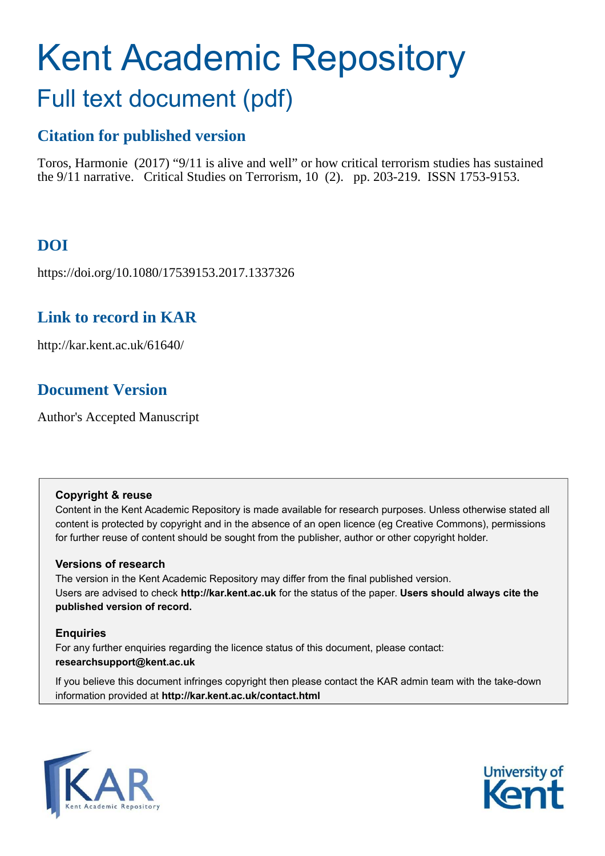# Kent Academic Repository Full text document (pdf)

### **Citation for published version**

Toros, Harmonie (2017) "9/11 is alive and well" or how critical terrorism studies has sustained the 9/11 narrative. Critical Studies on Terrorism, 10 (2). pp. 203-219. ISSN 1753-9153.

## **DOI**

https://doi.org/10.1080/17539153.2017.1337326

## **Link to record in KAR**

http://kar.kent.ac.uk/61640/

## **Document Version**

Author's Accepted Manuscript

#### **Copyright & reuse**

Content in the Kent Academic Repository is made available for research purposes. Unless otherwise stated all content is protected by copyright and in the absence of an open licence (eg Creative Commons), permissions for further reuse of content should be sought from the publisher, author or other copyright holder.

#### **Versions of research**

The version in the Kent Academic Repository may differ from the final published version. Users are advised to check **http://kar.kent.ac.uk** for the status of the paper. **Users should always cite the published version of record.**

#### **Enquiries**

For any further enquiries regarding the licence status of this document, please contact: **researchsupport@kent.ac.uk**

If you believe this document infringes copyright then please contact the KAR admin team with the take-down information provided at **http://kar.kent.ac.uk/contact.html**



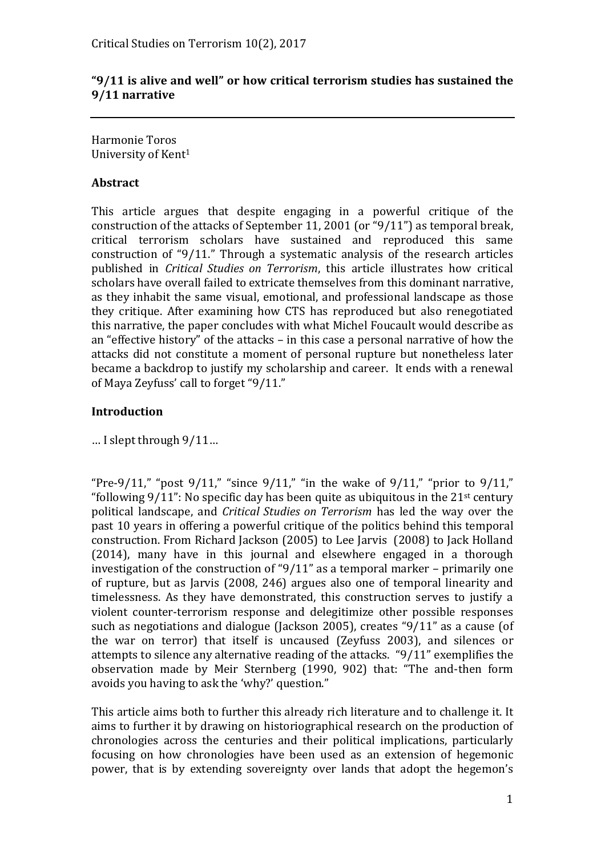#### "9/11 is alive and well" or how critical terrorism studies has sustained the **9/11 narrative**

Harmonie Toros University of Kent<sup>1</sup>

#### **Abstract**

This article argues that despite engaging in a powerful critique of the construction of the attacks of September 11, 2001 (or " $9/11$ ") as temporal break, critical terrorism scholars have sustained and reproduced this same construction of "9/11." Through a systematic analysis of the research articles published in *Critical Studies on Terrorism*, this article illustrates how critical scholars have overall failed to extricate themselves from this dominant narrative, as they inhabit the same visual, emotional, and professional landscape as those they critique. After examining how CTS has reproduced but also renegotiated this narrative, the paper concludes with what Michel Foucault would describe as an "effective history" of the attacks – in this case a personal narrative of how the attacks did not constitute a moment of personal rupture but nonetheless later became a backdrop to justify my scholarship and career. It ends with a renewal of Maya Zeyfuss' call to forget " $9/11$ ."

#### **Introduction**

 $\ldots$  I slept through  $9/11...$ 

"Pre-9/11," "post 9/11," "since 9/11," "in the wake of 9/11," "prior to 9/11," "following  $9/11$ ": No specific day has been quite as ubiquitous in the  $21$ <sup>st</sup> century political landscape, and *Critical Studies on Terrorism* has led the way over the past 10 years in offering a powerful critique of the politics behind this temporal construction. From Richard Jackson (2005) to Lee Jarvis (2008) to Jack Holland (2014), many have in this journal and elsewhere engaged in a thorough investigation of the construction of " $9/11$ " as a temporal marker – primarily one of rupture, but as Jarvis (2008, 246) argues also one of temporal linearity and timelessness. As they have demonstrated, this construction serves to justify a violent counter-terrorism response and delegitimize other possible responses such as negotiations and dialogue (Jackson 2005), creates " $9/11$ " as a cause (of the war on terror) that itself is uncaused (Zeyfuss 2003), and silences or attempts to silence any alternative reading of the attacks.  $9/11$  exemplifies the observation made by Meir Sternberg (1990, 902) that: "The and-then form avoids you having to ask the 'why?' question."

This article aims both to further this already rich literature and to challenge it. It aims to further it by drawing on historiographical research on the production of chronologies across the centuries and their political implications, particularly focusing on how chronologies have been used as an extension of hegemonic power, that is by extending sovereignty over lands that adopt the hegemon's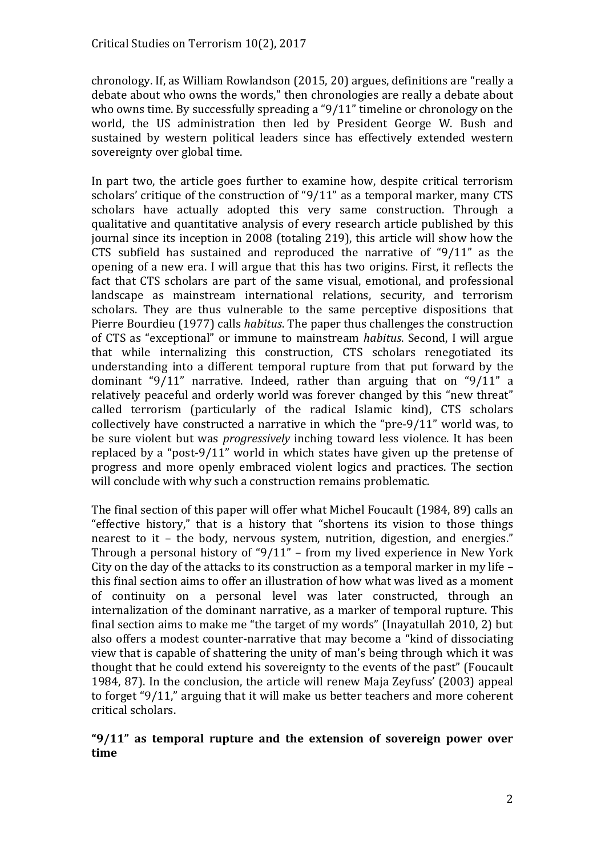chronology. If, as William Rowlandson (2015, 20) argues, definitions are "really a debate about who owns the words," then chronologies are really a debate about who owns time. By successfully spreading a  $9/11$ " timeline or chronology on the world, the US administration then led by President George W. Bush and sustained by western political leaders since has effectively extended western sovereignty over global time.

In part two, the article goes further to examine how, despite critical terrorism scholars' critique of the construction of " $9/11$ " as a temporal marker, many CTS scholars have actually adopted this very same construction. Through a qualitative and quantitative analysis of every research article published by this journal since its inception in 2008 (totaling 219), this article will show how the CTS subfield has sustained and reproduced the narrative of "9/11" as the opening of a new era. I will argue that this has two origins. First, it reflects the fact that CTS scholars are part of the same visual, emotional, and professional landscape as mainstream international relations, security, and terrorism scholars. They are thus vulnerable to the same perceptive dispositions that Pierre Bourdieu (1977) calls *habitus*. The paper thus challenges the construction of CTS as "exceptional" or immune to mainstream *habitus*. Second, I will argue that while internalizing this construction, CTS scholars renegotiated its understanding into a different temporal rupture from that put forward by the dominant "9/11" narrative. Indeed, rather than arguing that on "9/11" a relatively peaceful and orderly world was forever changed by this "new threat" called terrorism (particularly of the radical Islamic kind), CTS scholars collectively have constructed a narrative in which the "pre- $9/11$ " world was, to be sure violent but was *progressively* inching toward less violence. It has been replaced by a "post-9/11" world in which states have given up the pretense of progress and more openly embraced violent logics and practices. The section will conclude with why such a construction remains problematic.

The final section of this paper will offer what Michel Foucault (1984, 89) calls an "effective history," that is a history that "shortens its vision to those things nearest to it – the body, nervous system, nutrition, digestion, and energies." Through a personal history of " $9/11$ " – from my lived experience in New York City on the day of the attacks to its construction as a temporal marker in my life  $$ this final section aims to offer an illustration of how what was lived as a moment of continuity on a personal level was later constructed, through an internalization of the dominant narrative, as a marker of temporal rupture. This final section aims to make me "the target of my words" (Inayatullah 2010, 2) but also offers a modest counter-narrative that may become a "kind of dissociating view that is capable of shattering the unity of man's being through which it was thought that he could extend his sovereignty to the events of the past" (Foucault 1984, 87). In the conclusion, the article will renew Maja Zeyfuss' (2003) appeal to forget "9/11," arguing that it will make us better teachers and more coherent critical scholars.

#### "9/11" as temporal rupture and the extension of sovereign power over **time**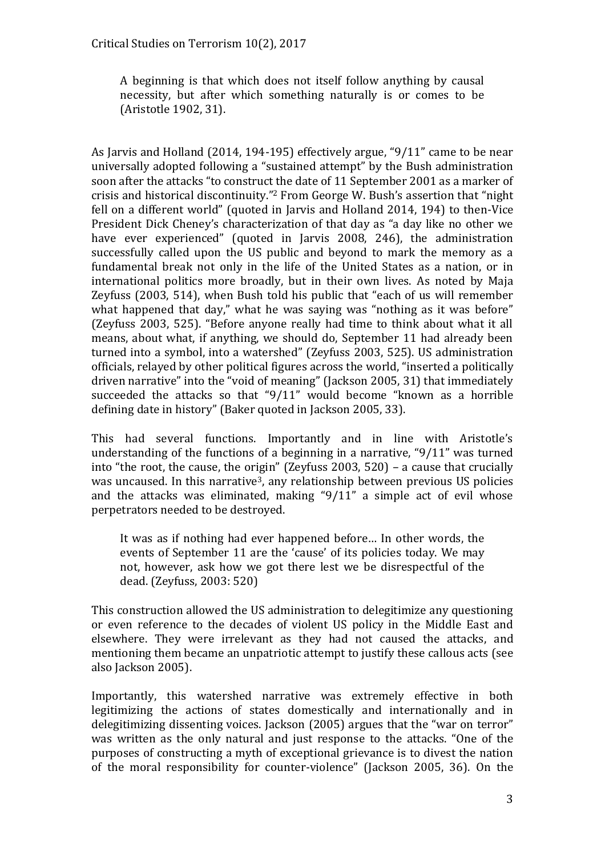A beginning is that which does not itself follow anything by causal necessity, but after which something naturally is or comes to be (Aristotle 1902, 31).

As Jarvis and Holland (2014, 194-195) effectively argue, " $9/11$ " came to be near universally adopted following a "sustained attempt" by the Bush administration soon after the attacks "to construct the date of 11 September 2001 as a marker of crisis and historical discontinuity."<sup>2</sup> From George W. Bush's assertion that "night" fell on a different world" (quoted in Jarvis and Holland 2014, 194) to then-Vice President Dick Cheney's characterization of that day as "a day like no other we have ever experienced" (quoted in Jarvis 2008, 246), the administration successfully called upon the US public and beyond to mark the memory as a fundamental break not only in the life of the United States as a nation, or in international politics more broadly, but in their own lives. As noted by Maja Zeyfuss (2003, 514), when Bush told his public that "each of us will remember what happened that day," what he was saying was "nothing as it was before" (Zeyfuss 2003, 525). "Before anyone really had time to think about what it all means, about what, if anything, we should do, September 11 had already been turned into a symbol, into a watershed" (Zeyfuss 2003, 525). US administration officials, relayed by other political figures across the world, "inserted a politically driven narrative" into the "void of meaning" (Jackson 2005, 31) that immediately succeeded the attacks so that " $9/11$ " would become "known as a horrible defining date in history" (Baker quoted in Jackson 2005, 33).

This had several functions. Importantly and in line with Aristotle's understanding of the functions of a beginning in a narrative, " $9/11$ " was turned into "the root, the cause, the origin" (Zeyfuss 2003, 520) – a cause that crucially was uncaused. In this narrative<sup>3</sup>, any relationship between previous US policies and the attacks was eliminated, making " $9/11$ " a simple act of evil whose perpetrators needed to be destroyed.

It was as if nothing had ever happened before... In other words, the events of September 11 are the 'cause' of its policies today. We may not, however, ask how we got there lest we be disrespectful of the dead. (Zeyfuss, 2003: 520)

This construction allowed the US administration to delegitimize any questioning or even reference to the decades of violent US policy in the Middle East and elsewhere. They were irrelevant as they had not caused the attacks, and mentioning them became an unpatriotic attempt to justify these callous acts (see also Jackson 2005).

Importantly, this watershed narrative was extremely effective in both legitimizing the actions of states domestically and internationally and in delegitimizing dissenting voices. Jackson (2005) argues that the "war on terror" was written as the only natural and just response to the attacks. "One of the purposes of constructing a myth of exceptional grievance is to divest the nation of the moral responsibility for counter-violence" (Jackson 2005, 36). On the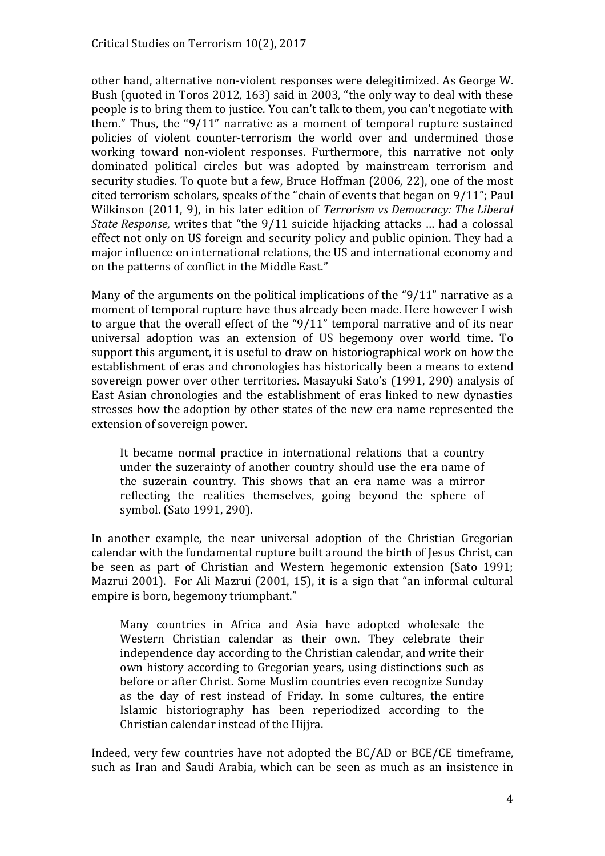other hand, alternative non-violent responses were delegitimized. As George W. Bush (quoted in Toros 2012, 163) said in 2003, "the only way to deal with these people is to bring them to justice. You can't talk to them, you can't negotiate with them." Thus, the " $9/11$ " narrative as a moment of temporal rupture sustained policies of violent counter-terrorism the world over and undermined those working toward non-violent responses. Furthermore, this narrative not only dominated political circles but was adopted by mainstream terrorism and security studies. To quote but a few, Bruce Hoffman (2006, 22), one of the most cited terrorism scholars, speaks of the "chain of events that began on  $9/11$ "; Paul Wilkinson (2011, 9), in his later edition of *Terrorism vs Democracy: The Liberal State Response,* writes that "the 9/11 suicide hijacking attacks ... had a colossal effect not only on US foreign and security policy and public opinion. They had a major influence on international relations, the US and international economy and on the patterns of conflict in the Middle East."

Many of the arguments on the political implications of the " $9/11$ " narrative as a moment of temporal rupture have thus already been made. Here however I wish to argue that the overall effect of the " $9/11$ " temporal narrative and of its near universal adoption was an extension of US hegemony over world time. To support this argument, it is useful to draw on historiographical work on how the establishment of eras and chronologies has historically been a means to extend sovereign power over other territories. Masayuki Sato's (1991, 290) analysis of East Asian chronologies and the establishment of eras linked to new dynasties stresses how the adoption by other states of the new era name represented the extension of sovereign power.

It became normal practice in international relations that a country under the suzerainty of another country should use the era name of the suzerain country. This shows that an era name was a mirror reflecting the realities themselves, going beyond the sphere of symbol. (Sato 1991, 290).

In another example, the near universal adoption of the Christian Gregorian calendar with the fundamental rupture built around the birth of Jesus Christ, can be seen as part of Christian and Western hegemonic extension (Sato 1991; Mazrui 2001). For Ali Mazrui (2001, 15), it is a sign that "an informal cultural empire is born, hegemony triumphant."

Many countries in Africa and Asia have adopted wholesale the Western Christian calendar as their own. They celebrate their independence day according to the Christian calendar, and write their own history according to Gregorian years, using distinctions such as before or after Christ. Some Muslim countries even recognize Sunday as the day of rest instead of Friday. In some cultures, the entire Islamic historiography has been reperiodized according to the Christian calendar instead of the Hijjra.

Indeed, very few countries have not adopted the BC/AD or BCE/CE timeframe, such as Iran and Saudi Arabia, which can be seen as much as an insistence in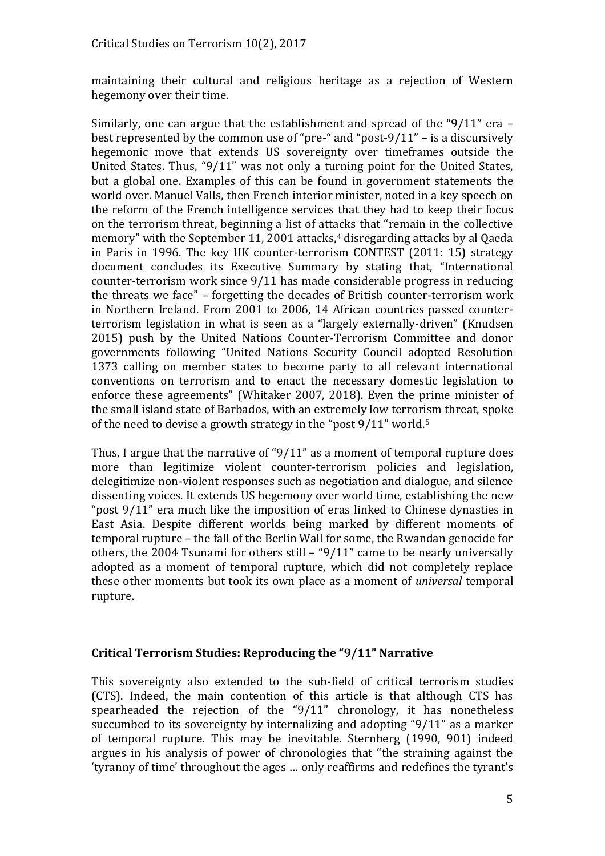maintaining their cultural and religious heritage as a rejection of Western hegemony over their time.

Similarly, one can argue that the establishment and spread of the "9/11" era  $$ best represented by the common use of "pre-" and "post- $9/11"$  – is a discursively hegemonic move that extends US sovereignty over timeframes outside the United States. Thus, "9/11" was not only a turning point for the United States, but a global one. Examples of this can be found in government statements the world over. Manuel Valls, then French interior minister, noted in a key speech on the reform of the French intelligence services that they had to keep their focus on the terrorism threat, beginning a list of attacks that "remain in the collective memory" with the September 11, 2001 attacks, $4$  disregarding attacks by al Qaeda in Paris in 1996. The key UK counter-terrorism CONTEST (2011: 15) strategy document concludes its Executive Summary by stating that, "International counter-terrorism work since 9/11 has made considerable progress in reducing the threats we face" – forgetting the decades of British counter-terrorism work in Northern Ireland. From 2001 to 2006, 14 African countries passed counterterrorism legislation in what is seen as a "largely externally-driven" (Knudsen 2015) push by the United Nations Counter-Terrorism Committee and donor governments following "United Nations Security Council adopted Resolution 1373 calling on member states to become party to all relevant international conventions on terrorism and to enact the necessary domestic legislation to enforce these agreements" (Whitaker 2007, 2018). Even the prime minister of the small island state of Barbados, with an extremely low terrorism threat, spoke of the need to devise a growth strategy in the "post  $9/11$ " world.<sup>5</sup>

Thus, I argue that the narrative of " $9/11$ " as a moment of temporal rupture does more than legitimize violent counter-terrorism policies and legislation, delegitimize non-violent responses such as negotiation and dialogue, and silence dissenting voices. It extends US hegemony over world time, establishing the new "post  $9/11$ " era much like the imposition of eras linked to Chinese dynasties in East Asia. Despite different worlds being marked by different moments of temporal rupture – the fall of the Berlin Wall for some, the Rwandan genocide for others, the 2004 Tsunami for others still  $-$  "9/11" came to be nearly universally adopted as a moment of temporal rupture, which did not completely replace these other moments but took its own place as a moment of *universal* temporal rupture.

#### **Critical Terrorism Studies: Reproducing the "9/11" Narrative**

This sovereignty also extended to the sub-field of critical terrorism studies (CTS). Indeed, the main contention of this article is that although CTS has spearheaded the rejection of the " $9/11$ " chronology, it has nonetheless succumbed to its sovereignty by internalizing and adopting " $9/11$ " as a marker of temporal rupture. This may be inevitable. Sternberg (1990, 901) indeed argues in his analysis of power of chronologies that "the straining against the 'tyranny of time' throughout the ages ... only reaffirms and redefines the tyrant's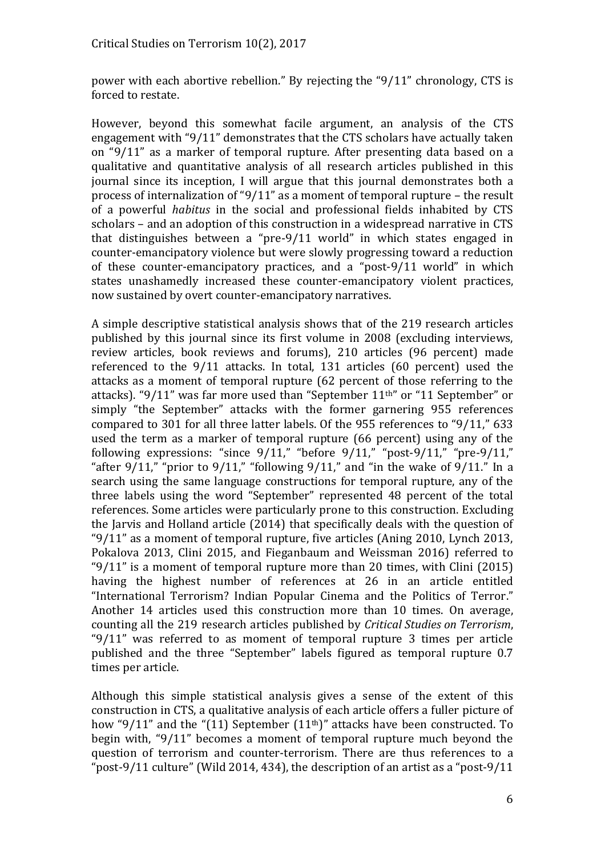power with each abortive rebellion." By rejecting the " $9/11$ " chronology, CTS is forced to restate.

However, beyond this somewhat facile argument, an analysis of the CTS engagement with " $9/11$ " demonstrates that the CTS scholars have actually taken on "9/11" as a marker of temporal rupture. After presenting data based on a qualitative and quantitative analysis of all research articles published in this journal since its inception, I will argue that this journal demonstrates both a process of internalization of "9/11" as a moment of temporal rupture – the result of a powerful *habitus* in the social and professional fields inhabited by CTS scholars – and an adoption of this construction in a widespread narrative in CTS that distinguishes between a "pre- $9/11$  world" in which states engaged in counter-emancipatory violence but were slowly progressing toward a reduction of these counter-emancipatory practices, and a "post- $9/11$  world" in which states unashamedly increased these counter-emancipatory violent practices, now sustained by overt counter-emancipatory narratives.

A simple descriptive statistical analysis shows that of the 219 research articles published by this journal since its first volume in 2008 (excluding interviews, review articles, book reviews and forums), 210 articles (96 percent) made referenced to the 9/11 attacks. In total, 131 articles (60 percent) used the attacks as a moment of temporal rupture (62 percent of those referring to the attacks). " $9/11$ " was far more used than "September  $11<sup>th</sup>$ " or "11 September" or simply "the September" attacks with the former garnering 955 references compared to 301 for all three latter labels. Of the 955 references to "9/11," 633 used the term as a marker of temporal rupture (66 percent) using any of the following expressions: "since  $9/11$ ," "before  $9/11$ ," "post- $9/11$ ," "pre- $9/11$ ," "after  $9/11$ ," "prior to  $9/11$ ," "following  $9/11$ ," and "in the wake of  $9/11$ ." In a search using the same language constructions for temporal rupture, any of the three labels using the word "September" represented 48 percent of the total references. Some articles were particularly prone to this construction. Excluding the Jarvis and Holland article (2014) that specifically deals with the question of  $9/11$ " as a moment of temporal rupture, five articles (Aning 2010, Lynch 2013, Pokalova 2013, Clini 2015, and Fieganbaum and Weissman 2016) referred to " $9/11$ " is a moment of temporal rupture more than 20 times, with Clini (2015) having the highest number of references at 26 in an article entitled "International Terrorism? Indian Popular Cinema and the Politics of Terror." Another 14 articles used this construction more than 10 times. On average, counting all the 219 research articles published by *Critical Studies on Terrorism*, " $9/11$ " was referred to as moment of temporal rupture 3 times per article published and the three "September" labels figured as temporal rupture 0.7 times per article.

Although this simple statistical analysis gives a sense of the extent of this construction in CTS, a qualitative analysis of each article offers a fuller picture of how "9/11" and the " $(11)$  September  $(11<sup>th</sup>)$ " attacks have been constructed. To begin with, " $9/11$ " becomes a moment of temporal rupture much beyond the question of terrorism and counter-terrorism. There are thus references to a "post-9/11 culture" (Wild 2014, 434), the description of an artist as a "post-9/11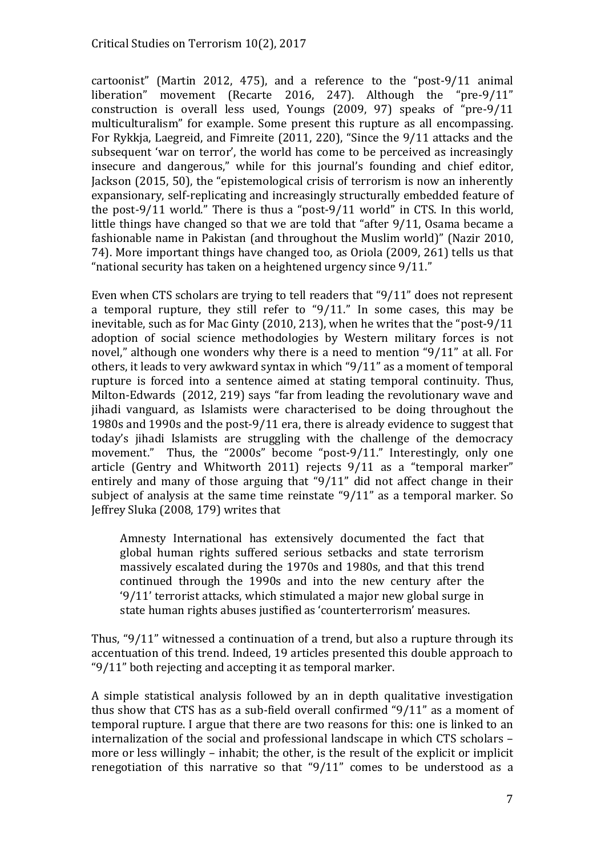cartoonist" (Martin 2012, 475), and a reference to the "post-9/11 animal liberation" movement (Recarte 2016, 247). Although the "pre-9/11" construction is overall less used, Youngs  $(2009, 97)$  speaks of "pre-9/11 multiculturalism" for example. Some present this rupture as all encompassing. For Rykkja, Laegreid, and Fimreite (2011, 220), "Since the 9/11 attacks and the subsequent 'war on terror', the world has come to be perceived as increasingly insecure and dangerous," while for this journal's founding and chief editor, Jackson (2015, 50), the "epistemological crisis of terrorism is now an inherently expansionary, self-replicating and increasingly structurally embedded feature of the post-9/11 world." There is thus a "post-9/11 world" in CTS. In this world, little things have changed so that we are told that "after  $9/11$ , Osama became a fashionable name in Pakistan (and throughout the Muslim world)" (Nazir 2010, 74). More important things have changed too, as Oriola (2009, 261) tells us that "national security has taken on a heightened urgency since  $9/11$ ."

Even when CTS scholars are trying to tell readers that  $\degree$ 9/11" does not represent a temporal rupture, they still refer to " $9/11$ ." In some cases, this may be inevitable, such as for Mac Ginty (2010, 213), when he writes that the "post-9/11 adoption of social science methodologies by Western military forces is not novel," although one wonders why there is a need to mention "9/11" at all. For others, it leads to very awkward syntax in which  $\degree$ 9/11" as a moment of temporal rupture is forced into a sentence aimed at stating temporal continuity. Thus, Milton-Edwards (2012, 219) says "far from leading the revolutionary wave and jihadi vanguard, as Islamists were characterised to be doing throughout the 1980s and 1990s and the post-9/11 era, there is already evidence to suggest that today's jihadi Islamists are struggling with the challenge of the democracy movement." Thus, the "2000s" become "post-9/11." Interestingly, only one article (Gentry and Whitworth 2011) rejects  $9/11$  as a "temporal marker" entirely and many of those arguing that  $\frac{40}{11}$  did not affect change in their subject of analysis at the same time reinstate  $9/11$ " as a temporal marker. So Jeffrey Sluka (2008, 179) writes that

Amnesty International has extensively documented the fact that global human rights suffered serious setbacks and state terrorism massively escalated during the 1970s and 1980s, and that this trend continued through the 1990s and into the new century after the  $9/11'$  terrorist attacks, which stimulated a major new global surge in state human rights abuses justified as 'counterterrorism' measures.

Thus, " $9/11$ " witnessed a continuation of a trend, but also a rupture through its accentuation of this trend. Indeed, 19 articles presented this double approach to  $9/11$ " both rejecting and accepting it as temporal marker.

A simple statistical analysis followed by an in depth qualitative investigation thus show that CTS has as a sub-field overall confirmed  $9/11$ " as a moment of temporal rupture. I argue that there are two reasons for this: one is linked to an internalization of the social and professional landscape in which CTS scholars – more or less willingly – inhabit; the other, is the result of the explicit or implicit renegotiation of this narrative so that " $9/11$ " comes to be understood as a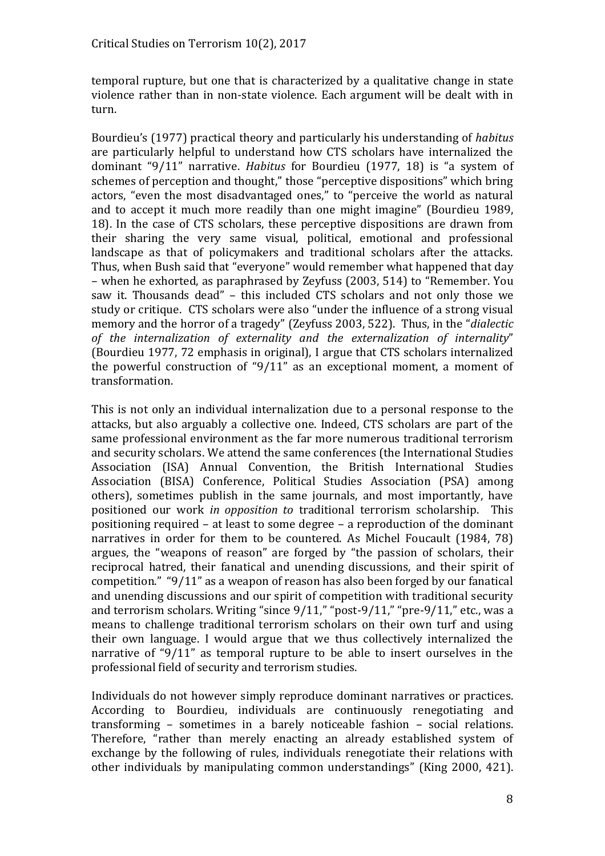temporal rupture, but one that is characterized by a qualitative change in state violence rather than in non-state violence. Each argument will be dealt with in turn.

Bourdieu's (1977) practical theory and particularly his understanding of *habitus* are particularly helpful to understand how CTS scholars have internalized the dominant "9/11" narrative. *Habitus* for Bourdieu (1977, 18) is "a system of schemes of perception and thought," those "perceptive dispositions" which bring actors, "even the most disadvantaged ones," to "perceive the world as natural and to accept it much more readily than one might imagine" (Bourdieu 1989, 18). In the case of CTS scholars, these perceptive dispositions are drawn from their sharing the very same visual, political, emotional and professional landscape as that of policymakers and traditional scholars after the attacks. Thus, when Bush said that "everyone" would remember what happened that day – when he exhorted, as paraphrased by Zeyfuss (2003, 514) to "Remember. You saw it. Thousands dead" – this included CTS scholars and not only those we study or critique. CTS scholars were also "under the influence of a strong visual memory and the horror of a tragedy" (Zeyfuss 2003, 522). Thus, in the "*dialectic* of the internalization of externality and the externalization of internality" (Bourdieu 1977, 72 emphasis in original), I argue that CTS scholars internalized the powerful construction of " $9/11$ " as an exceptional moment, a moment of transformation.

This is not only an individual internalization due to a personal response to the attacks, but also arguably a collective one. Indeed, CTS scholars are part of the same professional environment as the far more numerous traditional terrorism and security scholars. We attend the same conferences (the International Studies Association (ISA) Annual Convention, the British International Studies Association (BISA) Conference, Political Studies Association (PSA) among others), sometimes publish in the same journals, and most importantly, have positioned our work *in opposition to* traditional terrorism scholarship. This positioning required ‒ at least to some degree ‒ a reproduction of the dominant narratives in order for them to be countered. As Michel Foucault (1984, 78) argues, the "weapons of reason" are forged by "the passion of scholars, their reciprocal hatred, their fanatical and unending discussions, and their spirit of competition." " $9/11$ " as a weapon of reason has also been forged by our fanatical and unending discussions and our spirit of competition with traditional security and terrorism scholars. Writing "since  $9/11$ ," "post- $9/11$ ," "pre- $9/11$ ," etc., was a means to challenge traditional terrorism scholars on their own turf and using their own language. I would argue that we thus collectively internalized the narrative of " $9/11$ " as temporal rupture to be able to insert ourselves in the professional field of security and terrorism studies.

Individuals do not however simply reproduce dominant narratives or practices. According to Bourdieu, individuals are continuously renegotiating and transforming – sometimes in a barely noticeable fashion – social relations. Therefore, "rather than merely enacting an already established system of exchange by the following of rules, individuals renegotiate their relations with other individuals by manipulating common understandings" (King 2000, 421).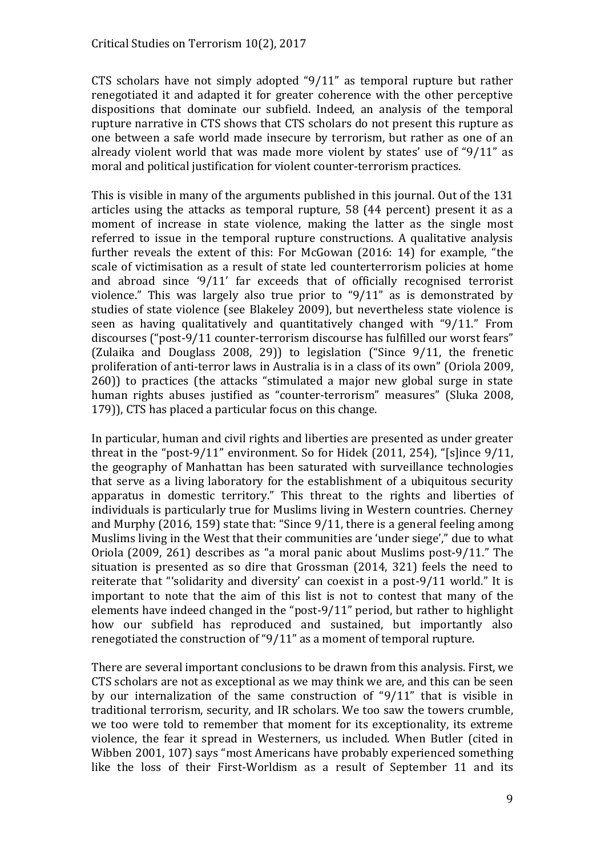CTS scholars have not simply adopted " $9/11$ " as temporal rupture but rather renegotiated it and adapted it for greater coherence with the other perceptive dispositions that dominate our subfield. Indeed, an analysis of the temporal rupture narrative in CTS shows that CTS scholars do not present this rupture as one between a safe world made insecure by terrorism, but rather as one of an already violent world that was made more violent by states' use of " $9/11$ " as moral and political justification for violent counter-terrorism practices.

This is visible in many of the arguments published in this journal. Out of the 131 articles using the attacks as temporal rupture, 58 (44 percent) present it as a moment of increase in state violence, making the latter as the single most referred to issue in the temporal rupture constructions. A qualitative analysis further reveals the extent of this: For McGowan (2016: 14) for example, "the scale of victimisation as a result of state led counterterrorism policies at home and abroad since '9/11' far exceeds that of officially recognised terrorist violence." This was largely also true prior to " $9/11$ " as is demonstrated by studies of state violence (see Blakeley 2009), but nevertheless state violence is seen as having qualitatively and quantitatively changed with "9/11." From discourses ("post-9/11 counter-terrorism discourse has fulfilled our worst fears" (Zulaika and Douglass 2008, 29)) to legislation ("Since  $9/11$ , the frenetic proliferation of anti-terror laws in Australia is in a class of its own" (Oriola 2009,  $260$ )) to practices (the attacks "stimulated a major new global surge in state human rights abuses justified as "counter-terrorism" measures" (Sluka 2008, 179)), CTS has placed a particular focus on this change.

In particular, human and civil rights and liberties are presented as under greater threat in the "post-9/11" environment. So for Hidek  $(2011, 254)$ , "[s]ince 9/11, the geography of Manhattan has been saturated with surveillance technologies that serve as a living laboratory for the establishment of a ubiquitous security apparatus in domestic territory." This threat to the rights and liberties of individuals is particularly true for Muslims living in Western countries. Cherney and Murphy (2016, 159) state that: "Since  $9/11$ , there is a general feeling among Muslims living in the West that their communities are 'under siege'," due to what Oriola  $(2009, 261)$  describes as "a moral panic about Muslims post-9/11." The situation is presented as so dire that Grossman (2014, 321) feels the need to reiterate that "solidarity and diversity' can coexist in a post-9/11 world." It is important to note that the aim of this list is not to contest that many of the elements have indeed changed in the "post-9/11" period, but rather to highlight how our subfield has reproduced and sustained, but importantly also renegotiated the construction of " $9/11$ " as a moment of temporal rupture.

There are several important conclusions to be drawn from this analysis. First, we CTS scholars are not as exceptional as we may think we are, and this can be seen by our internalization of the same construction of " $9/11$ " that is visible in traditional terrorism, security, and IR scholars. We too saw the towers crumble, we too were told to remember that moment for its exceptionality, its extreme violence, the fear it spread in Westerners, us included. When Butler (cited in Wibben 2001, 107) says "most Americans have probably experienced something like the loss of their First-Worldism as a result of September 11 and its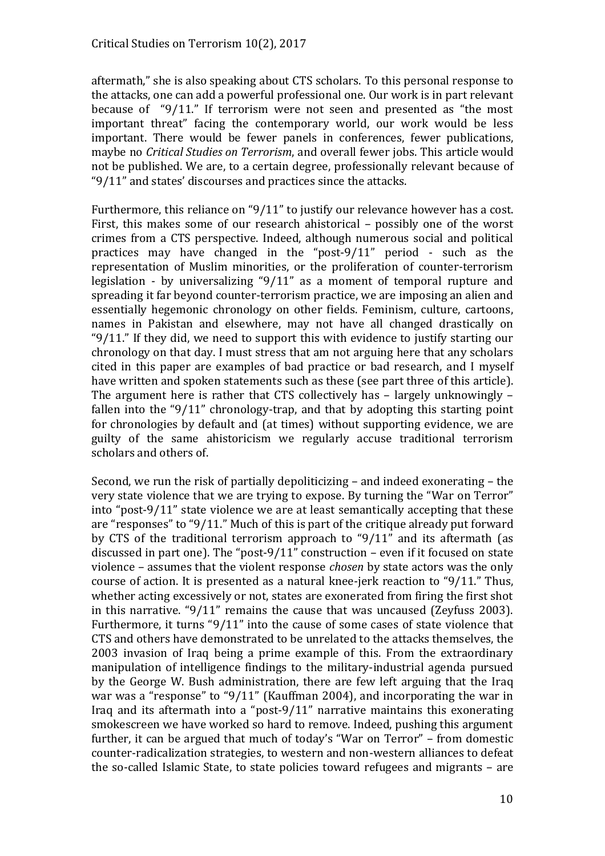aftermath," she is also speaking about CTS scholars. To this personal response to the attacks, one can add a powerful professional one. Our work is in part relevant because of  $9/11$ ." If terrorism were not seen and presented as "the most important threat" facing the contemporary world, our work would be less important. There would be fewer panels in conferences, fewer publications, maybe no *Critical Studies on Terrorism*, and overall fewer jobs. This article would not be published. We are, to a certain degree, professionally relevant because of " $9/11$ " and states' discourses and practices since the attacks.

Furthermore, this reliance on "9/11" to justify our relevance however has a cost. First, this makes some of our research ahistorical – possibly one of the worst crimes from a CTS perspective. Indeed, although numerous social and political practices may have changed in the "post- $9/11$ " period - such as the representation of Muslim minorities, or the proliferation of counter-terrorism legislation - by universalizing " $9/11$ " as a moment of temporal rupture and spreading it far beyond counter-terrorism practice, we are imposing an alien and essentially hegemonic chronology on other fields. Feminism, culture, cartoons, names in Pakistan and elsewhere, may not have all changed drastically on " $9/11$ ." If they did, we need to support this with evidence to justify starting our chronology on that day. I must stress that am not arguing here that any scholars cited in this paper are examples of bad practice or bad research, and I myself have written and spoken statements such as these (see part three of this article). The argument here is rather that CTS collectively has  $-$  largely unknowingly  $$ fallen into the "9/11" chronology-trap, and that by adopting this starting point for chronologies by default and (at times) without supporting evidence, we are guilty of the same ahistoricism we regularly accuse traditional terrorism scholars and others of.

Second, we run the risk of partially depoliticizing – and indeed exonerating – the very state violence that we are trying to expose. By turning the "War on Terror" into "post- $9/11$ " state violence we are at least semantically accepting that these are "responses" to "9/11." Much of this is part of the critique already put forward by CTS of the traditional terrorism approach to " $9/11$ " and its aftermath (as discussed in part one). The "post- $9/11$ " construction – even if it focused on state violence ‒ assumes that the violent response *chosen* by state actors was the only course of action. It is presented as a natural knee-jerk reaction to "9/11." Thus, whether acting excessively or not, states are exonerated from firing the first shot in this narrative. " $9/11$ " remains the cause that was uncaused (Zeyfuss 2003). Furthermore, it turns " $9/11$ " into the cause of some cases of state violence that CTS and others have demonstrated to be unrelated to the attacks themselves, the 2003 invasion of Iraq being a prime example of this. From the extraordinary manipulation of intelligence findings to the military-industrial agenda pursued by the George W. Bush administration, there are few left arguing that the Iraq war was a "response" to "9/11" (Kauffman 2004), and incorporating the war in Iraq and its aftermath into a "post- $9/11$ " narrative maintains this exonerating smokescreen we have worked so hard to remove. Indeed, pushing this argument further, it can be argued that much of today's "War on Terror" – from domestic counter-radicalization strategies, to western and non-western alliances to defeat the so-called Islamic State, to state policies toward refugees and migrants – are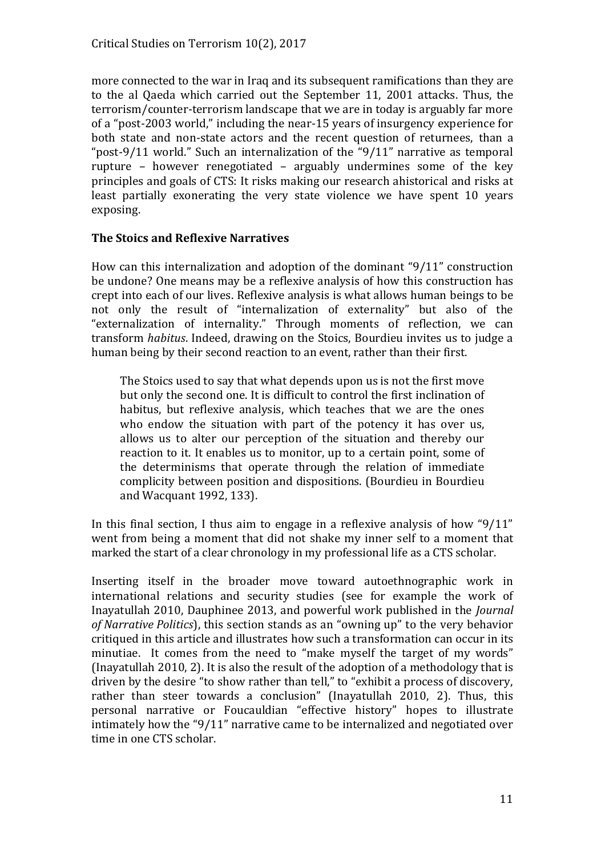more connected to the war in Iraq and its subsequent ramifications than they are to the al Qaeda which carried out the September 11, 2001 attacks. Thus, the terrorism/counter-terrorism landscape that we are in today is arguably far more of a "post-2003 world," including the near-15 years of insurgency experience for both state and non-state actors and the recent question of returnees, than a "post-9/11 world." Such an internalization of the "9/11" narrative as temporal rupture – however renegotiated – arguably undermines some of the key principles and goals of CTS: It risks making our research ahistorical and risks at least partially exonerating the very state violence we have spent 10 years exposing.

#### **The Stoics and Reflexive Narratives**

How can this internalization and adoption of the dominant  $9/11$ " construction be undone? One means may be a reflexive analysis of how this construction has crept into each of our lives. Reflexive analysis is what allows human beings to be not only the result of "internalization of externality" but also of the "externalization of internality." Through moments of reflection, we can transform *habitus*. Indeed, drawing on the Stoics, Bourdieu invites us to judge a human being by their second reaction to an event, rather than their first.

The Stoics used to say that what depends upon us is not the first move but only the second one. It is difficult to control the first inclination of habitus, but reflexive analysis, which teaches that we are the ones who endow the situation with part of the potency it has over us, allows us to alter our perception of the situation and thereby our reaction to it. It enables us to monitor, up to a certain point, some of the determinisms that operate through the relation of immediate complicity between position and dispositions. (Bourdieu in Bourdieu and Wacquant 1992, 133).

In this final section, I thus aim to engage in a reflexive analysis of how " $9/11$ " went from being a moment that did not shake my inner self to a moment that marked the start of a clear chronology in my professional life as a CTS scholar.

Inserting itself in the broader move toward autoethnographic work in international relations and security studies (see for example the work of Inayatullah 2010, Dauphinee 2013, and powerful work published in the *Journal of Narrative Politics*), this section stands as an "owning up" to the very behavior critiqued in this article and illustrates how such a transformation can occur in its minutiae. It comes from the need to "make myself the target of my words" (Inayatullah 2010, 2). It is also the result of the adoption of a methodology that is driven by the desire "to show rather than tell," to "exhibit a process of discovery, rather than steer towards a conclusion" (Inayatullah 2010, 2). Thus, this personal narrative or Foucauldian "effective history" hopes to illustrate intimately how the " $9/11$ " narrative came to be internalized and negotiated over time in one CTS scholar.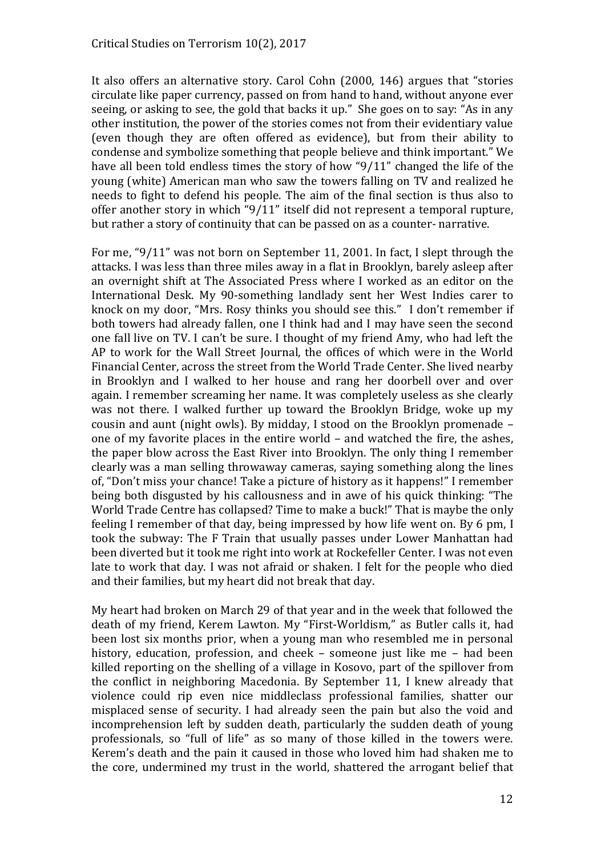It also offers an alternative story. Carol Cohn (2000, 146) argues that "stories circulate like paper currency, passed on from hand to hand, without anyone ever seeing, or asking to see, the gold that backs it up." She goes on to say: "As in any other institution, the power of the stories comes not from their evidentiary value (even though they are often offered as evidence), but from their ability to condense and symbolize something that people believe and think important." We have all been told endless times the story of how  $\frac{9}{11}$  changed the life of the young (white) American man who saw the towers falling on TV and realized he needs to fight to defend his people. The aim of the final section is thus also to offer another story in which " $9/11$ " itself did not represent a temporal rupture, but rather a story of continuity that can be passed on as a counter- narrative.

For me, " $9/11$ " was not born on September 11, 2001. In fact, I slept through the attacks. I was less than three miles away in a flat in Brooklyn, barely asleep after an overnight shift at The Associated Press where I worked as an editor on the International Desk. My 90-something landlady sent her West Indies carer to knock on my door, "Mrs. Rosy thinks you should see this." I don't remember if both towers had already fallen, one I think had and I may have seen the second one fall live on TV. I can't be sure. I thought of my friend Amy, who had left the AP to work for the Wall Street Journal, the offices of which were in the World Financial Center, across the street from the World Trade Center. She lived nearby in Brooklyn and I walked to her house and rang her doorbell over and over again. I remember screaming her name. It was completely useless as she clearly was not there. I walked further up toward the Brooklyn Bridge, woke up my cousin and aunt (night owls). By midday, I stood on the Brooklyn promenade one of my favorite places in the entire world – and watched the fire, the ashes, the paper blow across the East River into Brooklyn. The only thing I remember clearly was a man selling throwaway cameras, saying something along the lines of, "Don't miss your chance! Take a picture of history as it happens!" I remember being both disgusted by his callousness and in awe of his quick thinking: "The World Trade Centre has collapsed? Time to make a buck!" That is maybe the only feeling I remember of that day, being impressed by how life went on. By 6 pm, I took the subway: The F Train that usually passes under Lower Manhattan had been diverted but it took me right into work at Rockefeller Center. I was not even late to work that day. I was not afraid or shaken. I felt for the people who died and their families, but my heart did not break that day.

My heart had broken on March 29 of that year and in the week that followed the death of my friend, Kerem Lawton. My "First-Worldism," as Butler calls it, had been lost six months prior, when a young man who resembled me in personal history, education, profession, and cheek – someone just like me – had been killed reporting on the shelling of a village in Kosovo, part of the spillover from the conflict in neighboring Macedonia. By September 11, I knew already that violence could rip even nice middleclass professional families, shatter our misplaced sense of security. I had already seen the pain but also the void and incomprehension left by sudden death, particularly the sudden death of young professionals, so "full of life" as so many of those killed in the towers were. Kerem's death and the pain it caused in those who loved him had shaken me to the core, undermined my trust in the world, shattered the arrogant belief that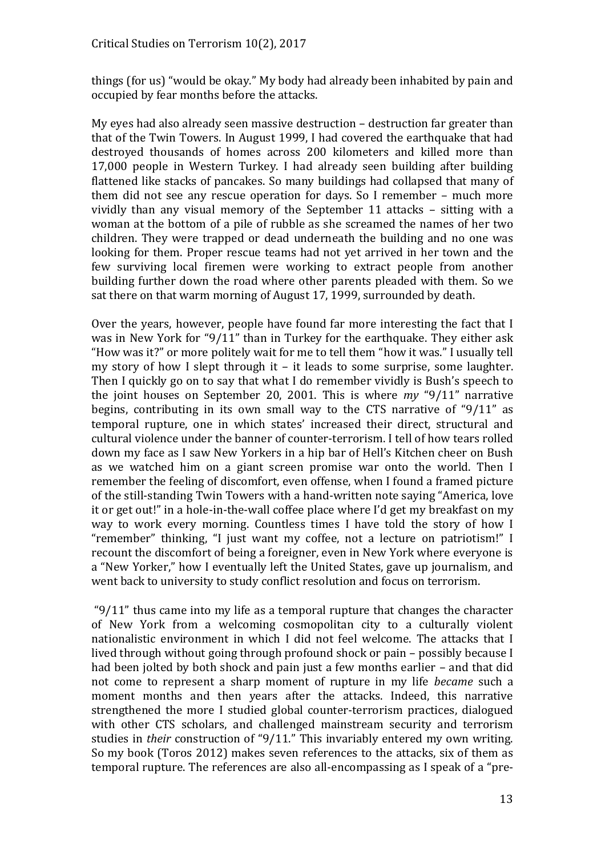things (for us) "would be okay." My body had already been inhabited by pain and occupied by fear months before the attacks.

My eyes had also already seen massive destruction – destruction far greater than that of the Twin Towers. In August 1999, I had covered the earthquake that had destroyed thousands of homes across 200 kilometers and killed more than 17,000 people in Western Turkey. I had already seen building after building flattened like stacks of pancakes. So many buildings had collapsed that many of them did not see any rescue operation for days. So I remember – much more vividly than any visual memory of the September 11 attacks – sitting with a woman at the bottom of a pile of rubble as she screamed the names of her two children. They were trapped or dead underneath the building and no one was looking for them. Proper rescue teams had not yet arrived in her town and the few surviving local firemen were working to extract people from another building further down the road where other parents pleaded with them. So we sat there on that warm morning of August 17, 1999, surrounded by death.

Over the years, however, people have found far more interesting the fact that I was in New York for " $9/11$ " than in Turkey for the earthquake. They either ask "How was it?" or more politely wait for me to tell them "how it was." I usually tell my story of how I slept through it  $-$  it leads to some surprise, some laughter. Then I quickly go on to say that what I do remember vividly is Bush's speech to the joint houses on September 20, 2001. This is where *my* "9/11" narrative begins, contributing in its own small way to the CTS narrative of " $9/11$ " as temporal rupture, one in which states' increased their direct, structural and cultural violence under the banner of counter-terrorism. I tell of how tears rolled down my face as I saw New Yorkers in a hip bar of Hell's Kitchen cheer on Bush as we watched him on a giant screen promise war onto the world. Then I remember the feeling of discomfort, even offense, when I found a framed picture of the still-standing Twin Towers with a hand-written note saying "America, love it or get out!" in a hole-in-the-wall coffee place where I'd get my breakfast on my way to work every morning. Countless times I have told the story of how I "remember" thinking, "I just want my coffee, not a lecture on patriotism!" I recount the discomfort of being a foreigner, even in New York where everyone is a "New Yorker," how I eventually left the United States, gave up journalism, and went back to university to study conflict resolution and focus on terrorism.

" $9/11$ " thus came into my life as a temporal rupture that changes the character of New York from a welcoming cosmopolitan city to a culturally violent nationalistic environment in which I did not feel welcome. The attacks that I lived through without going through profound shock or pain – possibly because I had been jolted by both shock and pain just a few months earlier - and that did not come to represent a sharp moment of rupture in my life *became* such a moment months and then years after the attacks. Indeed, this narrative strengthened the more I studied global counter-terrorism practices, dialogued with other CTS scholars, and challenged mainstream security and terrorism studies in *their* construction of "9/11." This invariably entered my own writing. So my book (Toros 2012) makes seven references to the attacks, six of them as temporal rupture. The references are also all-encompassing as I speak of a "pre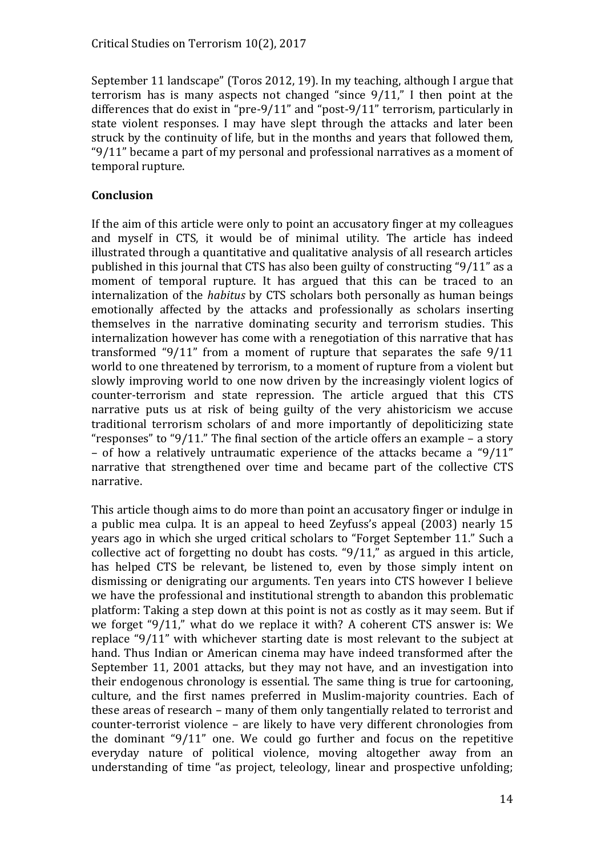September 11 landscape" (Toros 2012, 19). In my teaching, although I argue that terrorism has is many aspects not changed "since  $9/11$ ," I then point at the differences that do exist in "pre- $9/11$ " and "post- $9/11$ " terrorism, particularly in state violent responses. I may have slept through the attacks and later been struck by the continuity of life, but in the months and years that followed them, " $9/11$ " became a part of my personal and professional narratives as a moment of temporal rupture.

#### **Conclusion**

If the aim of this article were only to point an accusatory finger at my colleagues and myself in CTS, it would be of minimal utility. The article has indeed illustrated through a quantitative and qualitative analysis of all research articles published in this journal that CTS has also been guilty of constructing " $9/11$ " as a moment of temporal rupture. It has argued that this can be traced to an internalization of the *habitus* by CTS scholars both personally as human beings emotionally affected by the attacks and professionally as scholars inserting themselves in the narrative dominating security and terrorism studies. This internalization however has come with a renegotiation of this narrative that has transformed " $9/11$ " from a moment of rupture that separates the safe  $9/11$ world to one threatened by terrorism, to a moment of rupture from a violent but slowly improving world to one now driven by the increasingly violent logics of counter-terrorism and state repression. The article argued that this CTS narrative puts us at risk of being guilty of the very ahistoricism we accuse traditional terrorism scholars of and more importantly of depoliticizing state "responses" to "9/11." The final section of the article offers an example – a story – of how a relatively untraumatic experience of the attacks became a " $9/11$ " narrative that strengthened over time and became part of the collective CTS narrative.

This article though aims to do more than point an accusatory finger or indulge in a public mea culpa. It is an appeal to heed Zeyfuss's appeal (2003) nearly 15 years ago in which she urged critical scholars to "Forget September 11." Such a collective act of forgetting no doubt has costs. " $9/11$ ," as argued in this article, has helped CTS be relevant, be listened to, even by those simply intent on dismissing or denigrating our arguments. Ten years into CTS however I believe we have the professional and institutional strength to abandon this problematic platform: Taking a step down at this point is not as costly as it may seem. But if we forget "9/11," what do we replace it with? A coherent CTS answer is: We replace " $9/11$ " with whichever starting date is most relevant to the subject at hand. Thus Indian or American cinema may have indeed transformed after the September 11, 2001 attacks, but they may not have, and an investigation into their endogenous chronology is essential. The same thing is true for cartooning, culture, and the first names preferred in Muslim-majority countries. Each of these areas of research – many of them only tangentially related to terrorist and counter-terrorist violence – are likely to have very different chronologies from the dominant " $9/11$ " one. We could go further and focus on the repetitive everyday nature of political violence, moving altogether away from an understanding of time "as project, teleology, linear and prospective unfolding;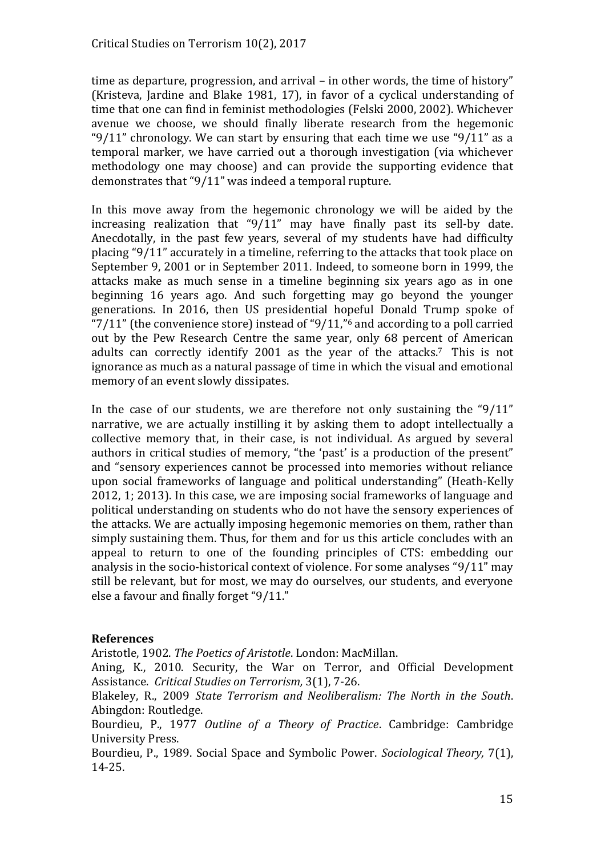time as departure, progression, and arrival – in other words, the time of history" (Kristeva, Jardine and Blake 1981, 17), in favor of a cyclical understanding of time that one can find in feminist methodologies (Felski 2000, 2002). Whichever avenue we choose, we should finally liberate research from the hegemonic " $9/11$ " chronology. We can start by ensuring that each time we use " $9/11$ " as a temporal marker, we have carried out a thorough investigation (via whichever methodology one may choose) and can provide the supporting evidence that demonstrates that " $9/11$ " was indeed a temporal rupture.

In this move away from the hegemonic chronology we will be aided by the increasing realization that " $9/11$ " may have finally past its sell-by date. Anecdotally, in the past few years, several of my students have had difficulty placing "9/11" accurately in a timeline, referring to the attacks that took place on September 9, 2001 or in September 2011. Indeed, to someone born in 1999, the attacks make as much sense in a timeline beginning six years ago as in one beginning 16 years ago. And such forgetting may go beyond the younger generations. In 2016, then US presidential hopeful Donald Trump spoke of " $7/11$ " (the convenience store) instead of " $9/11$ ,"<sup>6</sup> and according to a poll carried out by the Pew Research Centre the same year, only 68 percent of American adults can correctly identify 2001 as the year of the attacks.7 This is not ignorance as much as a natural passage of time in which the visual and emotional memory of an event slowly dissipates.

In the case of our students, we are therefore not only sustaining the  $9/11$ " narrative, we are actually instilling it by asking them to adopt intellectually a collective memory that, in their case, is not individual. As argued by several authors in critical studies of memory, "the 'past' is a production of the present" and "sensory experiences cannot be processed into memories without reliance upon social frameworks of language and political understanding" (Heath-Kelly 2012, 1; 2013). In this case, we are imposing social frameworks of language and political understanding on students who do not have the sensory experiences of the attacks. We are actually imposing hegemonic memories on them, rather than simply sustaining them. Thus, for them and for us this article concludes with an appeal to return to one of the founding principles of CTS: embedding our analysis in the socio-historical context of violence. For some analyses " $9/11$ " may still be relevant, but for most, we may do ourselves, our students, and everyone else a favour and finally forget " $9/11$ ."

#### **References**

Aristotle, 1902. *The Poetics of Aristotle*. London: MacMillan.

Aning, K., 2010. Security, the War on Terror, and Official Development Assistance. *Critical Studies on Terrorism,* 3(1), 7-26.

Blakeley, R., 2009 *State Terrorism and Neoliberalism: The North in the South*. Abingdon: Routledge.

Bourdieu, P., 1977 *Outline of a Theory of Practice*. Cambridge: Cambridge University Press.

Bourdieu, P., 1989. Social Space and Symbolic Power. *Sociological Theory,* 7(1), 14-25.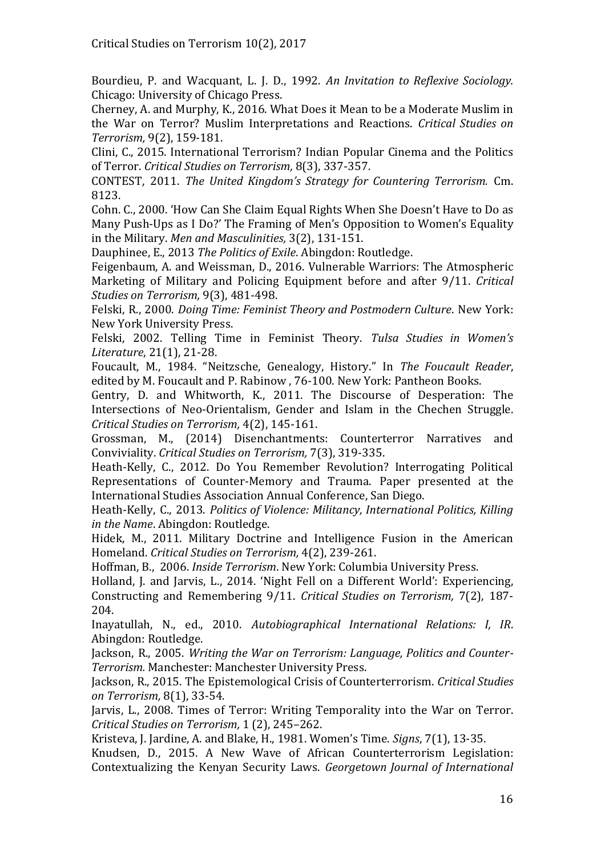Bourdieu, P. and Wacquant, L. J. D., 1992. *An Invitation to Reflexive Sociology.*  Chicago: University of Chicago Press.

Cherney, A. and Murphy, K., 2016. What Does it Mean to be a Moderate Muslim in the War on Terror? Muslim Interpretations and Reactions. *Critical Studies on Terrorism,* 9(2), 159-181.

Clini, C., 2015. International Terrorism? Indian Popular Cinema and the Politics of Terror. *Critical Studies on Terrorism,* 8(3), 337-357.

CONTEST, 2011. *The United Kingdom's Strategy for Countering Terrorism.* Cm. 8123.

Cohn. C., 2000. 'How Can She Claim Equal Rights When She Doesn't Have to Do as Many Push-Ups as I Do?' The Framing of Men's Opposition to Women's Equality in the Military. *Men and Masculinities,* 3(2), 131-151.

Dauphinee, E., 2013 *The Politics of Exile*. Abingdon: Routledge.

Feigenbaum, A. and Weissman, D., 2016. Vulnerable Warriors: The Atmospheric Marketing of Military and Policing Equipment before and after 9/11. *Critical Studies on Terrorism,* 9(3), 481-498.

Felski, R., 2000. *Doing Time: Feminist Theory and Postmodern Culture*. New York: New York University Press.

Felski, 2002. Telling Time in Feminist Theory. *Tulsa Studies in Women's Literature*, 21(1), 21-28.

Foucault, M., 1984. "Neitzsche, Genealogy, History." In *The Foucault Reader*, edited by M. Foucault and P. Rabinow , 76-100. New York: Pantheon Books.

Gentry, D. and Whitworth, K., 2011. The Discourse of Desperation: The Intersections of Neo-Orientalism, Gender and Islam in the Chechen Struggle. *Critical Studies on Terrorism,* 4(2), 145-161.

Grossman, M., (2014) Disenchantments: Counterterror Narratives and Conviviality. *Critical Studies on Terrorism,* 7(3), 319-335.

Heath-Kelly, C., 2012. Do You Remember Revolution? Interrogating Political Representations of Counter-Memory and Trauma. Paper presented at the International Studies Association Annual Conference, San Diego.

Heath-Kelly, C., 2013. *Politics of Violence: Militancy, International Politics, Killing in the Name*. Abingdon: Routledge.

Hidek, M., 2011. Military Doctrine and Intelligence Fusion in the American Homeland. *Critical Studies on Terrorism,* 4(2), 239-261.

Hoffman, B., 2006. *Inside Terrorism*. New York: Columbia University Press.

Holland, J. and Jarvis, L., 2014. 'Night Fell on a Different World': Experiencing, Constructing and Remembering 9/11. *Critical Studies on Terrorism,* 7(2), 187- 204.

Inayatullah, N., ed., 2010. *Autobiographical International Relations: I, IR*. Abingdon: Routledge.

Jackson, R., 2005. *Writing the War on Terrorism: Language, Politics and Counter-Terrorism.* Manchester: Manchester University Press.

Jackson, R., 2015. The Epistemological Crisis of Counterterrorism. *Critical Studies on Terrorism,* 8(1), 33-54.

Jarvis, L., 2008. Times of Terror: Writing Temporality into the War on Terror. *Critical Studies on Terrorism, 1 (2), 245-262.* 

Kristeva, J. Jardine, A. and Blake, H., 1981. Women's Time. *Signs*, 7(1), 13-35.

Knudsen, D., 2015. A New Wave of African Counterterrorism Legislation: Contextualizing the Kenyan Security Laws. *Georgetown Journal of International*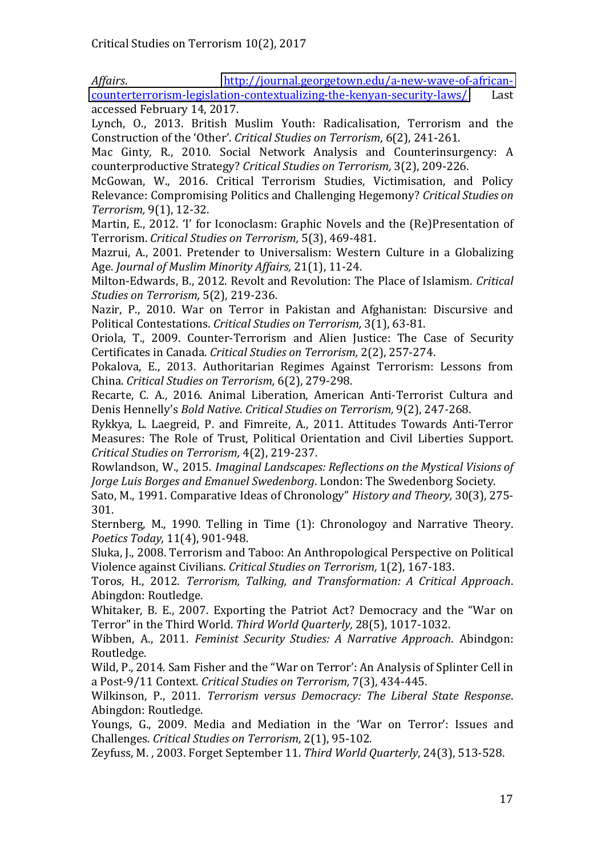Affairs. [http://journal.georgetown.edu/a-new-wave-of-african](http://journal.georgetown.edu/a-new-wave-of-african-counterterrorism-legislation-contextualizing-the-kenyan-security-laws/)[counterterrorism-legislation-contextualizing-the-kenyan-security-laws/](http://journal.georgetown.edu/a-new-wave-of-african-counterterrorism-legislation-contextualizing-the-kenyan-security-laws/) Last accessed February 14, 2017.

Lynch, O., 2013. British Muslim Youth: Radicalisation, Terrorism and the Construction of the 'Other'. Critical Studies on Terrorism, 6(2), 241-261.

Mac Ginty, R., 2010. Social Network Analysis and Counterinsurgency: A counterproductive Strategy? *Critical Studies on Terrorism,* 3(2), 209-226.

McGowan, W., 2016. Critical Terrorism Studies, Victimisation, and Policy Relevance: Compromising Politics and Challenging Hegemony? *Critical Studies on Terrorism,* 9(1), 12-32.

Martin, E., 2012. 'I' for Iconoclasm: Graphic Novels and the (Re)Presentation of Terrorism. *Critical Studies on Terrorism,* 5(3), 469-481.

Mazrui, A., 2001. Pretender to Universalism: Western Culture in a Globalizing Age. *Journal of Muslim Minority Affairs,* 21(1), 11-24.

Milton-Edwards, B., 2012. Revolt and Revolution: The Place of Islamism. *Critical Studies on Terrorism,* 5(2), 219-236.

Nazir, P., 2010. War on Terror in Pakistan and Afghanistan: Discursive and Political Contestations. *Critical Studies on Terrorism,* 3(1), 63-81.

Oriola, T., 2009. Counter-Terrorism and Alien Justice: The Case of Security Certificates in Canada. *Critical Studies on Terrorism,* 2(2), 257-274.

Pokalova, E., 2013. Authoritarian Regimes Against Terrorism: Lessons from China. *Critical Studies on Terrorism,* 6(2), 279-298.

Recarte, C. A., 2016. Animal Liberation, American Anti-Terrorist Cultura and Denis Hennelly's *Bold Native. Critical Studies on Terrorism*, 9(2), 247-268.

Rykkya, L. Laegreid, P. and Fimreite, A., 2011. Attitudes Towards Anti-Terror Measures: The Role of Trust, Political Orientation and Civil Liberties Support. *Critical Studies on Terrorism,* 4(2), 219-237.

Rowlandson, W., 2015. *Imaginal Landscapes: Reflections on the Mystical Visions of Jorge Luis Borges and Emanuel Swedenborg*. London: The Swedenborg Society.

Sato, M., 1991. Comparative Ideas of Chronology" *History and Theory*, 30(3), 275-301.

Sternberg, M., 1990. Telling in Time (1): Chronologoy and Narrative Theory. *Poetics Today,* 11(4), 901-948.

Sluka, J., 2008. Terrorism and Taboo: An Anthropological Perspective on Political Violence against Civilians. *Critical Studies on Terrorism,* 1(2), 167-183.

Toros, H., 2012. *Terrorism, Talking, and Transformation: A Critical Approach*. Abingdon: Routledge.

Whitaker, B. E., 2007. Exporting the Patriot Act? Democracy and the "War on Terror" in the Third World. Third World Quarterly, 28(5), 1017-1032.

Wibben, A., 2011. *Feminist Security Studies: A Narrative Approach*. Abindgon: Routledge.

Wild, P., 2014. Sam Fisher and the "War on Terror': An Analysis of Splinter Cell in a Post-9/11 Context. *Critical Studies on Terrorism,* 7(3), 434-445.

Wilkinson, P., 2011. *Terrorism versus Democracy: The Liberal State Response*. Abingdon: Routledge.

Youngs, G., 2009. Media and Mediation in the 'War on Terror': Issues and Challenges. *Critical Studies on Terrorism,* 2(1), 95-102.

Zeyfuss, M. , 2003. Forget September 11. *Third World Quarterly*, 24(3), 513-528.